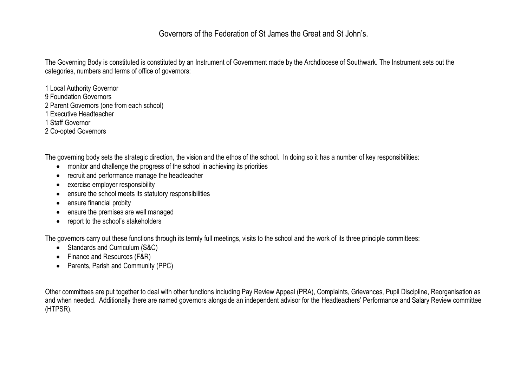## Governors of the Federation of St James the Great and St John's.

The Governing Body is constituted is constituted by an Instrument of [Government](https://elmgreen.fluencycms.co.uk/Mainfolder/About-Us/Governors/ELMGREEN---2015.pdf) made by the Archdiocese of Southwark. The Instrument sets out the categories, numbers and terms of office of governors:

1 Local Authority Governor

- 9 Foundation Governors
- 2 Parent Governors (one from each school)
- 1 Executive Headteacher

1 Staff Governor

2 Co-opted Governors

The governing body sets the strategic direction, the vision and the ethos of the school. In doing so it has a number of key responsibilities:

- monitor and challenge the progress of the school in achieving its priorities
- recruit and performance manage the headteacher
- exercise employer responsibility
- ensure the school meets its statutory responsibilities
- ensure financial probity
- ensure the premises are well managed
- report to the school's stakeholders

The governors carry out these functions through its termly full meetings, visits to the school and the work of its three principle committees:

- Standards and Curriculum (S&C)
- Finance and Resources (F&R)
- Parents, Parish and Community (PPC)

Other committees are put together to deal with other functions including Pay Review Appeal (PRA), Complaints, Grievances, Pupil Discipline, Reorganisation as and when needed. Additionally there are named governors alongside an independent advisor for the Headteachers' Performance and Salary Review committee (HTPSR).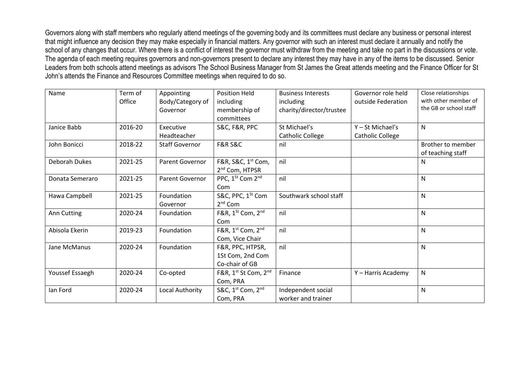Governors along with staff members who regularly attend meetings of the governing body and its committees must declare any business or personal interest that might influence any decision they may make especially in financial matters. Any governor with such an interest must declare it annually and notify the school of any changes that occur. Where there is a conflict of interest the governor must withdraw from the meeting and take no part in the discussions or vote. The agenda of each meeting requires governors and non-governors present to declare any interest they may have in any of the items to be discussed. Senior Leaders from both schools attend meetings as advisors The School Business Manager from St James the Great attends meeting and the Finance Officer for St John's attends the Finance and Resources Committee meetings when required to do so.

| Name            | Term of<br>Office | Appointing<br>Body/Category of<br>Governor | <b>Position Held</b><br>including<br>membership of<br>committees | <b>Business Interests</b><br>including<br>charity/director/trustee | Governor role held<br>outside Federation | Close relationships<br>with other member of<br>the GB or school staff |
|-----------------|-------------------|--------------------------------------------|------------------------------------------------------------------|--------------------------------------------------------------------|------------------------------------------|-----------------------------------------------------------------------|
| Janice Babb     | 2016-20           | Executive<br>Headteacher                   | S&C, F&R, PPC                                                    | St Michael's<br><b>Catholic College</b>                            | $Y - St$ Michael's<br>Catholic College   | N                                                                     |
| John Bonicci    | 2018-22           | <b>Staff Governor</b>                      | <b>F&amp;R S&amp;C</b>                                           | nil                                                                |                                          | Brother to member<br>of teaching staff                                |
| Deborah Dukes   | 2021-25           | Parent Governor                            | F&R, S&C, 1 <sup>st</sup> Com,<br>2 <sup>nd</sup> Com, HTPSR     | nil                                                                |                                          | N                                                                     |
| Donata Semeraro | 2021-25           | Parent Governor                            | PPC, 1 <sup>St</sup> Com 2 <sup>nd</sup><br>Com                  | nil                                                                |                                          | N                                                                     |
| Hawa Campbell   | 2021-25           | Foundation<br>Governor                     | S&C, PPC, 1 <sup>St</sup> Com<br>2 <sup>nd</sup> Com             | Southwark school staff                                             |                                          | N                                                                     |
| Ann Cutting     | 2020-24           | Foundation                                 | F&R, 1 <sup>St</sup> Com, 2 <sup>nd</sup><br>Com                 | nil                                                                |                                          | N                                                                     |
| Abisola Ekerin  | 2019-23           | Foundation                                 | F&R, 1st Com, 2nd<br>Com, Vice Chair                             | nil                                                                |                                          | N                                                                     |
| Jane McManus    | 2020-24           | Foundation                                 | F&R, PPC, HTPSR,<br>1St Com, 2nd Com<br>Co-chair of GB           | nil                                                                |                                          | $\mathsf{N}$                                                          |
| Youssef Essaegh | 2020-24           | Co-opted                                   | F&R, 1 <sup>st</sup> St Com, 2 <sup>nd</sup><br>Com, PRA         | Finance                                                            | Y - Harris Academy                       | $\mathsf{N}$                                                          |
| lan Ford        | 2020-24           | Local Authority                            | S&C, 1st Com, 2nd<br>Com, PRA                                    | Independent social<br>worker and trainer                           |                                          | N                                                                     |